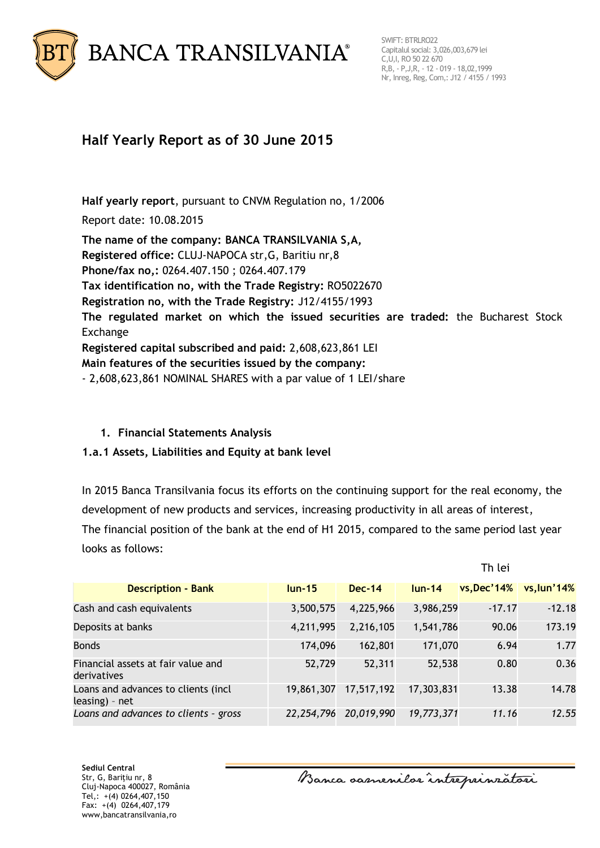

# **Half Yearly Report as of 30 June 2015**

**Half yearly report**, pursuant to CNVM Regulation no, 1/2006 Report date: 10.08.2015

**The name of the company: BANCA TRANSILVANIA S,A, Registered office:** CLUJ-NAPOCA str,G, Baritiu nr,8 **Phone/fax no,:** 0264.407.150 ; 0264.407.179 **Tax identification no, with the Trade Registry:** RO5022670 **Registration no, with the Trade Registry:** J12/4155/1993 **The regulated market on which the issued securities are traded:** the Bucharest Stock Exchange **Registered capital subscribed and paid:** 2,608,623,861 LEI **Main features of the securities issued by the company:** - 2,608,623,861 NOMINAL SHARES with a par value of 1 LEI/share

### **1. Financial Statements Analysis**

### **1.a.1 Assets, Liabilities and Equity at bank level**

In 2015 Banca Transilvania focus its efforts on the continuing support for the real economy, the development of new products and services, increasing productivity in all areas of interest, The financial position of the bank at the end of H1 2015, compared to the same period last year looks as follows:

|                                                       |            |            |            | Th lei             |               |
|-------------------------------------------------------|------------|------------|------------|--------------------|---------------|
| <b>Description - Bank</b>                             | $lun-15$   | $Dec-14$   | $lun-14$   | <b>vs, Dec'14%</b> | vs, lun't 14% |
| Cash and cash equivalents                             | 3,500,575  | 4,225,966  | 3,986,259  | $-17.17$           | $-12.18$      |
| Deposits at banks                                     | 4,211,995  | 2,216,105  | 1,541,786  | 90.06              | 173.19        |
| <b>Bonds</b>                                          | 174,096    | 162,801    | 171,070    | 6.94               | 1.77          |
| Financial assets at fair value and<br>derivatives     | 52,729     | 52,311     | 52,538     | 0.80               | 0.36          |
| Loans and advances to clients (incl<br>leasing) - net | 19,861,307 | 17,517,192 | 17,303,831 | 13.38              | 14.78         |
| Loans and advances to clients - gross                 | 22,254,796 | 20,019,990 | 19,773,371 | 11.16              | 12.55         |

**Sediul Central** Str, G, Bariţiu nr, 8 Cluj-Napoca 400027, România Tel,: +(4) 0264,407,150 Fax: +(4) 0264,407,179 www,bancatransilvania,ro

Banca samenilor intreprinzatori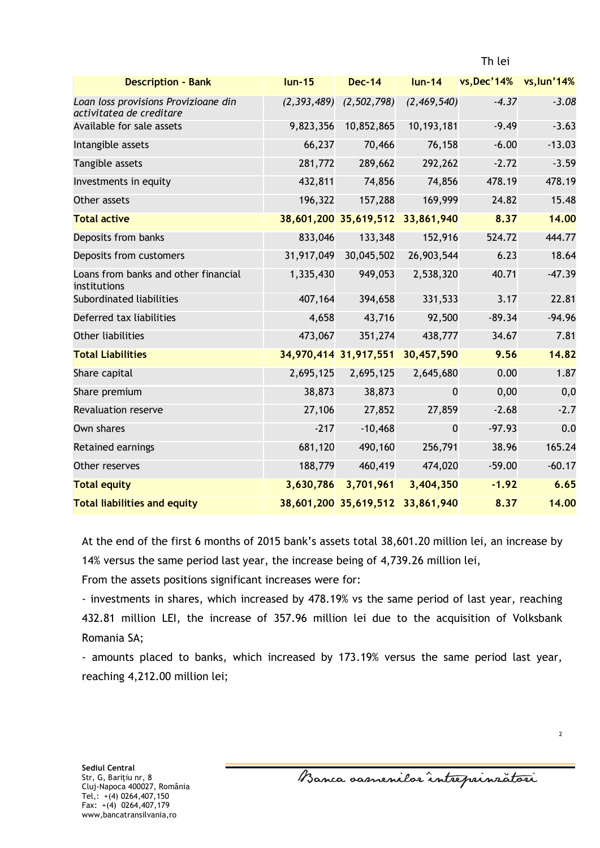| <b>Description - Bank</b>                                        | $lun-15$  | <b>Dec-14</b>                    |             | lun-14 vs, Dec'14% vs, lun'14% |          |
|------------------------------------------------------------------|-----------|----------------------------------|-------------|--------------------------------|----------|
| Loan loss provisions Provizioane din<br>activitatea de creditare |           | $(2,393,489)$ $(2,502,798)$      | (2,469,540) | $-4.37$                        | $-3.08$  |
| Available for sale assets                                        | 9,823,356 | 10,852,865                       | 10,193,181  | $-9.49$                        | $-3.63$  |
| Intangible assets                                                | 66,237    | 70,466                           | 76,158      | $-6.00$                        | $-13.03$ |
| Tangible assets                                                  | 281,772   | 289,662                          | 292,262     | $-2.72$                        | $-3.59$  |
| Investments in equity                                            | 432,811   | 74,856                           | 74,856      | 478.19                         | 478.19   |
| Other assets                                                     | 196,322   | 157,288                          | 169,999     | 24.82                          | 15.48    |
| <b>Total active</b>                                              |           | 38,601,200 35,619,512            | 33,861,940  | 8.37                           | 14.00    |
| Deposits from banks                                              | 833,046   | 133,348                          | 152,916     | 524.72                         | 444.77   |
| Deposits from customers                                          |           | 31,917,049 30,045,502            | 26,903,544  | 6.23                           | 18.64    |
| Loans from banks and other financial<br>institutions             | 1,335,430 | 949,053                          | 2,538,320   | 40.71                          | $-47.39$ |
| Subordinated liabilities                                         | 407,164   | 394,658                          | 331,533     | 3.17                           | 22.81    |
| Deferred tax liabilities                                         | 4,658     | 43,716                           | 92,500      | $-89.34$                       | $-94.96$ |
| <b>Other liabilities</b>                                         | 473,067   | 351,274                          | 438,777     | 34.67                          | 7.81     |
| <b>Total Liabilities</b>                                         |           | 34,970,414 31,917,551 30,457,590 |             | 9.56                           | 14.82    |
| Share capital                                                    | 2,695,125 | 2,695,125                        | 2,645,680   | 0.00                           | 1.87     |
| Share premium                                                    | 38,873    | 38,873                           | $\mathbf 0$ | 0,00                           | 0,0      |
| <b>Revaluation reserve</b>                                       | 27,106    | 27,852                           | 27,859      | $-2.68$                        | $-2.7$   |
| Own shares                                                       | $-217$    | $-10,468$                        | $\mathbf 0$ | $-97.93$                       | 0.0      |
| Retained earnings                                                | 681,120   | 490,160                          | 256,791     | 38.96                          | 165.24   |
| Other reserves                                                   | 188,779   | 460,419                          | 474,020     | $-59.00$                       | $-60.17$ |
| <b>Total equity</b>                                              | 3,630,786 | 3,701,961                        | 3,404,350   | $-1.92$                        | 6.65     |
| <b>Total liabilities and equity</b>                              |           | 38,601,200 35,619,512 33,861,940 |             | 8.37                           | 14.00    |

At the end of the first 6 months of 2015 bank's assets total 38,601.20 million lei, an increase by 14% versus the same period last year, the increase being of 4,739.26 million lei,

From the assets positions significant increases were for:

- investments in shares, which increased by 478.19% vs the same period of last year, reaching 432.81 million LEI, the increase of 357.96 million lei due to the acquisition of Volksbank Romania SA;

- amounts placed to banks, which increased by 173.19% versus the same period last year, reaching 4,212.00 million lei;

Banca oarnenilor intreprinzatori

 $\overline{2}$ 

Th lei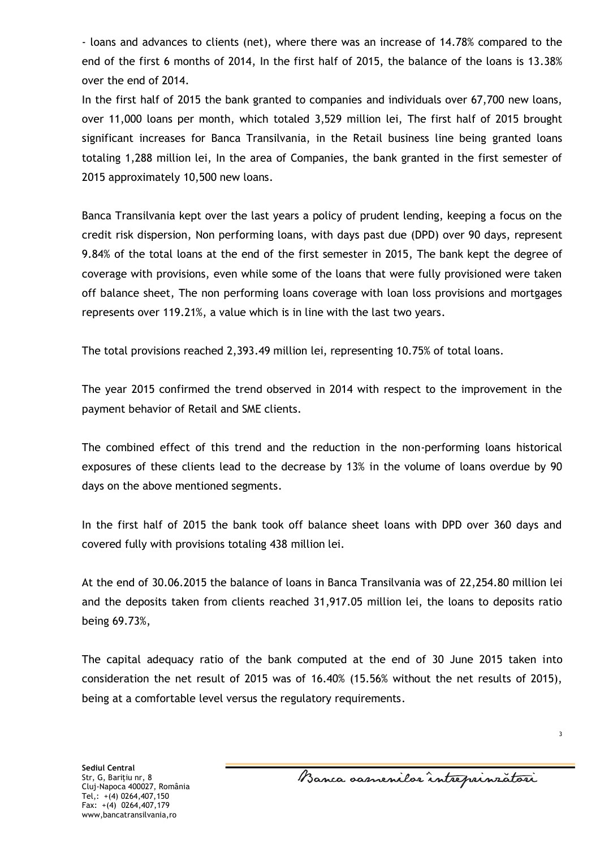- loans and advances to clients (net), where there was an increase of 14.78% compared to the end of the first 6 months of 2014, In the first half of 2015, the balance of the loans is 13.38% over the end of 2014.

In the first half of 2015 the bank granted to companies and individuals over 67,700 new loans, over 11,000 loans per month, which totaled 3,529 million lei, The first half of 2015 brought significant increases for Banca Transilvania, in the Retail business line being granted loans totaling 1,288 million lei, In the area of Companies, the bank granted in the first semester of 2015 approximately 10,500 new loans.

Banca Transilvania kept over the last years a policy of prudent lending, keeping a focus on the credit risk dispersion, Non performing loans, with days past due (DPD) over 90 days, represent 9.84% of the total loans at the end of the first semester in 2015, The bank kept the degree of coverage with provisions, even while some of the loans that were fully provisioned were taken off balance sheet, The non performing loans coverage with loan loss provisions and mortgages represents over 119.21%, a value which is in line with the last two years.

The total provisions reached 2,393.49 million lei, representing 10.75% of total loans.

The year 2015 confirmed the trend observed in 2014 with respect to the improvement in the payment behavior of Retail and SME clients.

The combined effect of this trend and the reduction in the non-performing loans historical exposures of these clients lead to the decrease by 13% in the volume of loans overdue by 90 days on the above mentioned segments.

In the first half of 2015 the bank took off balance sheet loans with DPD over 360 days and covered fully with provisions totaling 438 million lei.

At the end of 30.06.2015 the balance of loans in Banca Transilvania was of 22,254.80 million lei and the deposits taken from clients reached 31,917.05 million lei, the loans to deposits ratio being 69.73%,

The capital adequacy ratio of the bank computed at the end of 30 June 2015 taken into consideration the net result of 2015 was of 16.40% (15.56% without the net results of 2015), being at a comfortable level versus the regulatory requirements.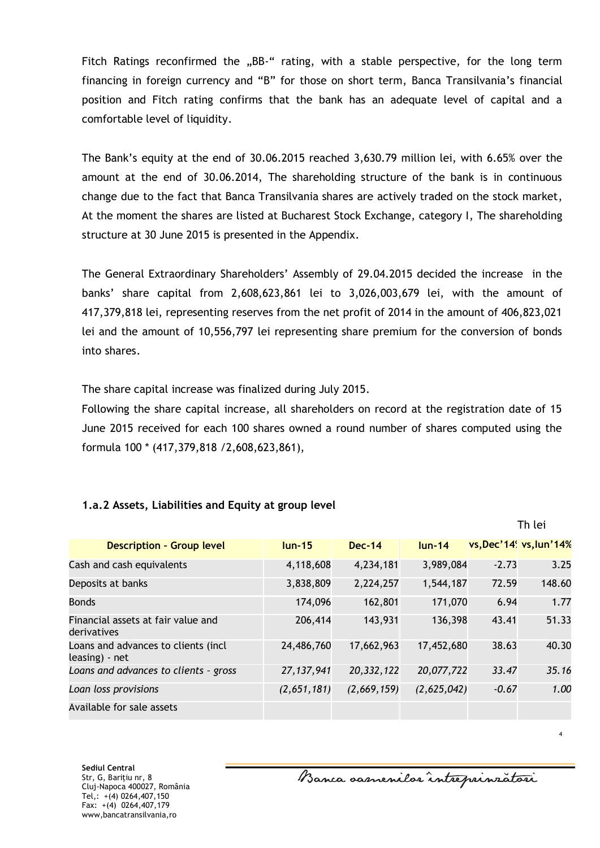Fitch Ratings reconfirmed the "BB-" rating, with a stable perspective, for the long term financing in foreign currency and "B" for those on short term, Banca Transilvania's financial position and Fitch rating confirms that the bank has an adequate level of capital and a comfortable level of liquidity.

The Bank's equity at the end of 30.06.2015 reached 3,630.79 million lei, with 6.65% over the amount at the end of 30.06.2014, The shareholding structure of the bank is in continuous change due to the fact that Banca Transilvania shares are actively traded on the stock market, At the moment the shares are listed at Bucharest Stock Exchange, category I, The shareholding structure at 30 June 2015 is presented in the Appendix.

The General Extraordinary Shareholders' Assembly of 29.04.2015 decided the increase in the banks' share capital from 2,608,623,861 lei to 3,026,003,679 lei, with the amount of 417,379,818 lei, representing reserves from the net profit of 2014 in the amount of 406,823,021 lei and the amount of 10,556,797 lei representing share premium for the conversion of bonds into shares.

The share capital increase was finalized during July 2015.

Following the share capital increase, all shareholders on record at the registration date of 15 June 2015 received for each 100 shares owned a round number of shares computed using the formula 100 \* (417,379,818 /2,608,623,861),

### **1.a.2 Assets, Liabilities and Equity at group level**

| <b>Description - Group level</b>                      | $l$ un-15    | $Dec-14$    | $lun-14$    |         | vs, Dec't4' vs, lun't4% |
|-------------------------------------------------------|--------------|-------------|-------------|---------|-------------------------|
| Cash and cash equivalents                             | 4,118,608    | 4,234,181   | 3,989,084   | $-2.73$ | 3.25                    |
| Deposits at banks                                     | 3,838,809    | 2,224,257   | 1,544,187   | 72.59   | 148.60                  |
| <b>Bonds</b>                                          | 174,096      | 162,801     | 171,070     | 6.94    | 1.77                    |
| Financial assets at fair value and<br>derivatives     | 206,414      | 143,931     | 136,398     | 43.41   | 51.33                   |
| Loans and advances to clients (incl<br>leasing) - net | 24,486,760   | 17,662,963  | 17,452,680  | 38.63   | 40.30                   |
| Loans and advances to clients - gross                 | 27, 137, 941 | 20,332,122  | 20,077,722  | 33.47   | 35.16                   |
| Loan loss provisions                                  | (2,651,181)  | (2,669,159) | (2,625,042) | $-0.67$ | 1.00                    |
| Available for sale assets                             |              |             |             |         |                         |

4

Th lei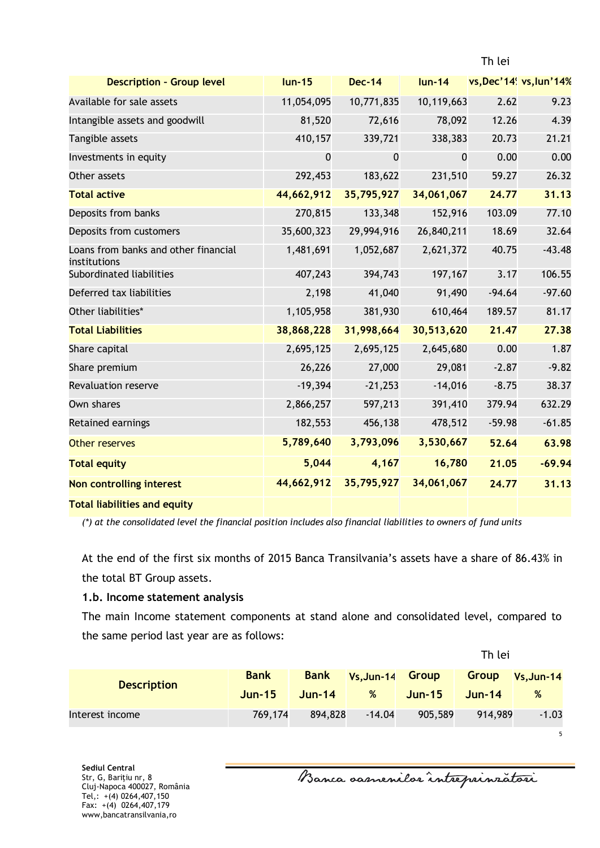| <b>Description - Group level</b>                     | $lun-15$    | <b>Dec-14</b> | $lun-14$    |          | vs, Dec'14 <sup>'</sup> vs, lun'14% |
|------------------------------------------------------|-------------|---------------|-------------|----------|-------------------------------------|
| Available for sale assets                            | 11,054,095  | 10,771,835    | 10,119,663  | 2.62     | 9.23                                |
| Intangible assets and goodwill                       | 81,520      | 72,616        | 78,092      | 12.26    | 4.39                                |
| Tangible assets                                      | 410,157     | 339,721       | 338,383     | 20.73    | 21.21                               |
| Investments in equity                                | $\mathbf 0$ | $\mathbf 0$   | $\mathbf 0$ | 0.00     | 0.00                                |
| Other assets                                         | 292,453     | 183,622       | 231,510     | 59.27    | 26.32                               |
| <b>Total active</b>                                  | 44,662,912  | 35,795,927    | 34,061,067  | 24.77    | 31.13                               |
| Deposits from banks                                  | 270,815     | 133,348       | 152,916     | 103.09   | 77.10                               |
| Deposits from customers                              | 35,600,323  | 29,994,916    | 26,840,211  | 18.69    | 32.64                               |
| Loans from banks and other financial<br>institutions | 1,481,691   | 1,052,687     | 2,621,372   | 40.75    | $-43.48$                            |
| Subordinated liabilities                             | 407,243     | 394,743       | 197,167     | 3.17     | 106.55                              |
| Deferred tax liabilities                             | 2,198       | 41,040        | 91,490      | $-94.64$ | $-97.60$                            |
| Other liabilities*                                   | 1,105,958   | 381,930       | 610,464     | 189.57   | 81.17                               |
| <b>Total Liabilities</b>                             | 38,868,228  | 31,998,664    | 30,513,620  | 21.47    | 27.38                               |
| Share capital                                        | 2,695,125   | 2,695,125     | 2,645,680   | 0.00     | 1.87                                |
| Share premium                                        | 26,226      | 27,000        | 29,081      | $-2.87$  | $-9.82$                             |
| <b>Revaluation reserve</b>                           | $-19,394$   | $-21,253$     | $-14,016$   | $-8.75$  | 38.37                               |
| Own shares                                           | 2,866,257   | 597,213       | 391,410     | 379.94   | 632.29                              |
| Retained earnings                                    | 182,553     | 456,138       | 478,512     | $-59.98$ | $-61.85$                            |
| Other reserves                                       | 5,789,640   | 3,793,096     | 3,530,667   | 52.64    | 63.98                               |
| <b>Total equity</b>                                  | 5,044       | 4,167         | 16,780      | 21.05    | $-69.94$                            |
| Non controlling interest                             | 44,662,912  | 35,795,927    | 34,061,067  | 24.77    | 31.13                               |
| <b>Total liabilities and equity</b>                  |             |               |             |          |                                     |

*(\*) at the consolidated level the financial position includes also financial liabilities to owners of fund units*

At the end of the first six months of 2015 Banca Transilvania's assets have a share of 86.43% in the total BT Group assets.

#### **1.b. Income statement analysis**

The main Income statement components at stand alone and consolidated level, compared to the same period last year are as follows:

|                    |             |             |                  | Th lei   |          |              |  |
|--------------------|-------------|-------------|------------------|----------|----------|--------------|--|
| <b>Description</b> | <b>Bank</b> | <b>Bank</b> | Vs, Jun-14 Group |          | Group    | $Vs, Jun-14$ |  |
|                    | $Jun-15$    | $Jun-14$    | %                | $Jun-15$ | $Jun-14$ | %            |  |
| Interest income    | 769,174     | 894,828     | $-14.04$         | 905,589  | 914,989  | $-1.03$      |  |

**Sediul Central** Str, G, Bariţiu nr, 8 Cluj-Napoca 400027, România Tel,: +(4) 0264,407,150 Fax: +(4) 0264,407,179 www,bancatransilvania,ro

Banca samenilor intreprinzatori

5

Th lei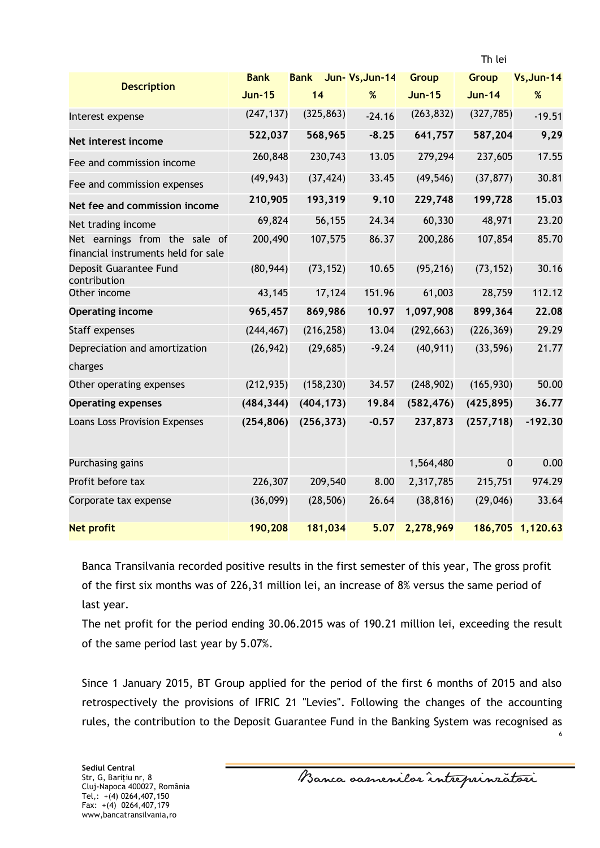|                                                                      |               |             |                |               | ו וויכו       |                  |
|----------------------------------------------------------------------|---------------|-------------|----------------|---------------|---------------|------------------|
| <b>Description</b>                                                   | <b>Bank</b>   | <b>Bank</b> | Jun-Vs, Jun-14 | <b>Group</b>  | <b>Group</b>  | $Vs, Jun-14$     |
|                                                                      | <b>Jun-15</b> | 14          | %              | <b>Jun-15</b> | <b>Jun-14</b> | $\%$             |
| Interest expense                                                     | (247, 137)    | (325, 863)  | $-24.16$       | (263, 832)    | (327, 785)    | $-19.51$         |
| Net interest income                                                  | 522,037       | 568,965     | $-8.25$        | 641,757       | 587,204       | 9,29             |
| Fee and commission income                                            | 260,848       | 230,743     | 13.05          | 279,294       | 237,605       | 17.55            |
| Fee and commission expenses                                          | (49, 943)     | (37, 424)   | 33.45          | (49, 546)     | (37, 877)     | 30.81            |
| Net fee and commission income                                        | 210,905       | 193,319     | 9.10           | 229,748       | 199,728       | 15.03            |
| Net trading income                                                   | 69,824        | 56,155      | 24.34          | 60,330        | 48,971        | 23.20            |
| Net earnings from the sale of<br>financial instruments held for sale | 200,490       | 107,575     | 86.37          | 200,286       | 107,854       | 85.70            |
| Deposit Guarantee Fund<br>contribution                               | (80, 944)     | (73, 152)   | 10.65          | (95, 216)     | (73, 152)     | 30.16            |
| Other income                                                         | 43,145        | 17,124      | 151.96         | 61,003        | 28,759        | 112.12           |
| <b>Operating income</b>                                              | 965,457       | 869,986     | 10.97          | 1,097,908     | 899,364       | 22.08            |
| Staff expenses                                                       | (244, 467)    | (216, 258)  | 13.04          | (292, 663)    | (226, 369)    | 29.29            |
| Depreciation and amortization<br>charges                             | (26, 942)     | (29, 685)   | $-9.24$        | (40, 911)     | (33, 596)     | 21.77            |
| Other operating expenses                                             | (212, 935)    | (158, 230)  | 34.57          | (248, 902)    | (165, 930)    | 50.00            |
| <b>Operating expenses</b>                                            | (484, 344)    | (404, 173)  | 19.84          | (582, 476)    | (425, 895)    | 36.77            |
| Loans Loss Provision Expenses                                        | (254, 806)    | (256, 373)  | $-0.57$        | 237,873       | (257, 718)    | $-192.30$        |
| Purchasing gains                                                     |               |             |                | 1,564,480     | $\mathbf{0}$  | 0.00             |
| Profit before tax                                                    | 226,307       | 209,540     | 8.00           | 2,317,785     | 215,751       | 974.29           |
| Corporate tax expense                                                | (36,099)      | (28, 506)   | 26.64          | (38, 816)     | (29,046)      | 33.64            |
| <b>Net profit</b>                                                    | 190,208       | 181,034     | 5.07           | 2,278,969     |               | 186,705 1,120.63 |

Banca Transilvania recorded positive results in the first semester of this year, The gross profit of the first six months was of 226,31 million lei, an increase of 8% versus the same period of last year.

The net profit for the period ending 30.06.2015 was of 190.21 million lei, exceeding the result of the same period last year by 5.07%.

Since 1 January 2015, BT Group applied for the period of the first 6 months of 2015 and also retrospectively the provisions of IFRIC 21 "Levies". Following the changes of the accounting rules, the contribution to the Deposit Guarantee Fund in the Banking System was recognised as

6

Th Loi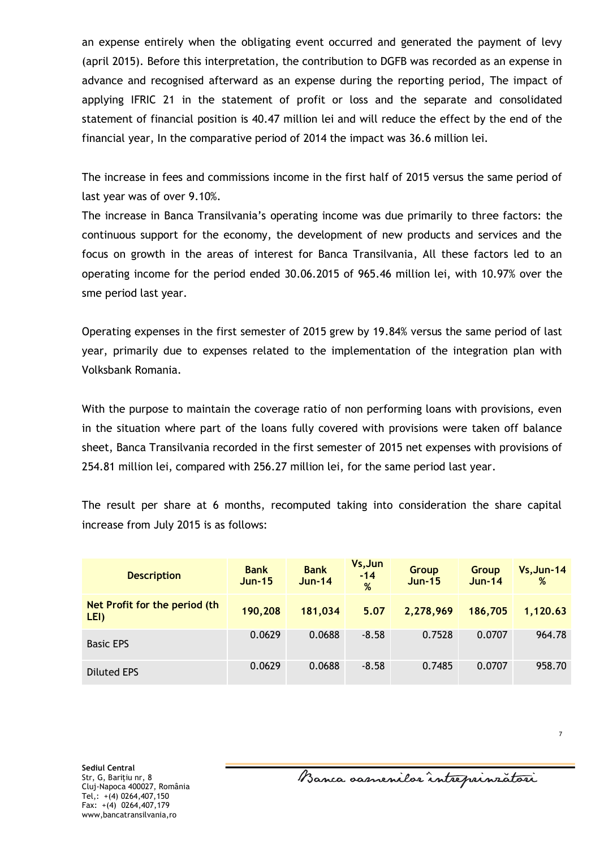an expense entirely when the obligating event occurred and generated the payment of levy (april 2015). Before this interpretation, the contribution to DGFB was recorded as an expense in advance and recognised afterward as an expense during the reporting period, The impact of applying IFRIC 21 in the statement of profit or loss and the separate and consolidated statement of financial position is 40.47 million lei and will reduce the effect by the end of the financial year, In the comparative period of 2014 the impact was 36.6 million lei.

The increase in fees and commissions income in the first half of 2015 versus the same period of last year was of over 9.10%.

The increase in Banca Transilvania's operating income was due primarily to three factors: the continuous support for the economy, the development of new products and services and the focus on growth in the areas of interest for Banca Transilvania, All these factors led to an operating income for the period ended 30.06.2015 of 965.46 million lei, with 10.97% over the sme period last year.

Operating expenses in the first semester of 2015 grew by 19.84% versus the same period of last year, primarily due to expenses related to the implementation of the integration plan with Volksbank Romania.

With the purpose to maintain the coverage ratio of non performing loans with provisions, even in the situation where part of the loans fully covered with provisions were taken off balance sheet, Banca Transilvania recorded in the first semester of 2015 net expenses with provisions of 254.81 million lei, compared with 256.27 million lei, for the same period last year.

The result per share at 6 months, recomputed taking into consideration the share capital increase from July 2015 is as follows:

| <b>Description</b>                    | <b>Bank</b><br><b>Jun-15</b> | <b>Bank</b><br>$Jun-14$ | Vs, Jun<br>$-14$<br>% | <b>Group</b><br><b>Jun-15</b> | Group<br>$Jun-14$ | $Vs, Jun-14$<br>% |
|---------------------------------------|------------------------------|-------------------------|-----------------------|-------------------------------|-------------------|-------------------|
| Net Profit for the period (th<br>LEI) | 190,208                      | 181,034                 | 5.07                  | 2,278,969                     | 186,705           | 1,120.63          |
| <b>Basic EPS</b>                      | 0.0629                       | 0.0688                  | $-8.58$               | 0.7528                        | 0.0707            | 964.78            |
| <b>Diluted EPS</b>                    | 0.0629                       | 0.0688                  | $-8.58$               | 0.7485                        | 0.0707            | 958.70            |

7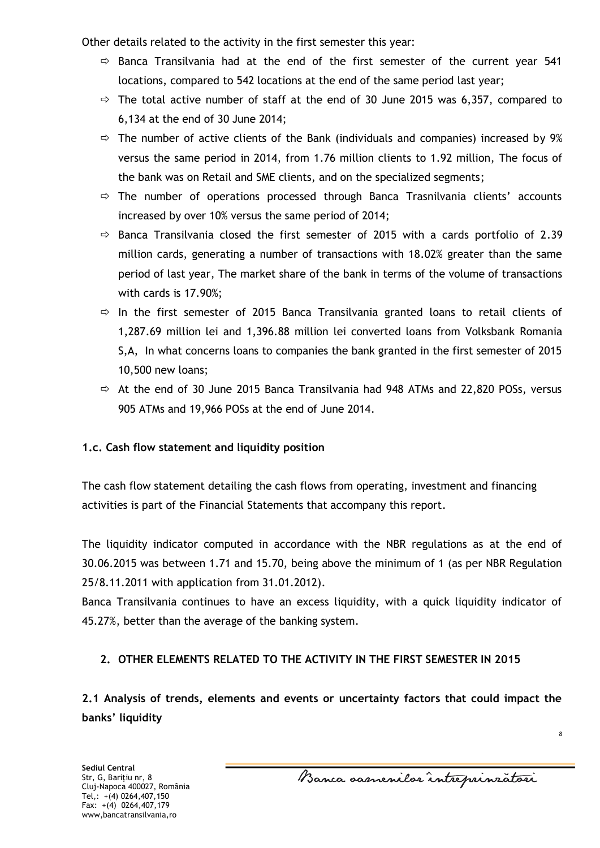Other details related to the activity in the first semester this year:

- $\Rightarrow$  Banca Transilvania had at the end of the first semester of the current year 541 locations, compared to 542 locations at the end of the same period last year;
- $\Rightarrow$  The total active number of staff at the end of 30 June 2015 was 6,357, compared to 6,134 at the end of 30 June 2014;
- $\Rightarrow$  The number of active clients of the Bank (individuals and companies) increased by 9% versus the same period in 2014, from 1.76 million clients to 1.92 million, The focus of the bank was on Retail and SME clients, and on the specialized segments;
- $\Rightarrow$  The number of operations processed through Banca Trasnilvania clients' accounts increased by over 10% versus the same period of 2014;
- $\Rightarrow$  Banca Transilvania closed the first semester of 2015 with a cards portfolio of 2.39 million cards, generating a number of transactions with 18.02% greater than the same period of last year, The market share of the bank in terms of the volume of transactions with cards is 17.90%;
- $\Rightarrow$  In the first semester of 2015 Banca Transilvania granted loans to retail clients of 1,287.69 million lei and 1,396.88 million lei converted loans from Volksbank Romania S,A, In what concerns loans to companies the bank granted in the first semester of 2015 10,500 new loans;
- $\Rightarrow$  At the end of 30 June 2015 Banca Transilvania had 948 ATMs and 22,820 POSs, versus 905 ATMs and 19,966 POSs at the end of June 2014.

## **1.c. Cash flow statement and liquidity position**

The cash flow statement detailing the cash flows from operating, investment and financing activities is part of the Financial Statements that accompany this report.

The liquidity indicator computed in accordance with the NBR regulations as at the end of 30.06.2015 was between 1.71 and 15.70, being above the minimum of 1 (as per NBR Regulation 25/8.11.2011 with application from 31.01.2012).

Banca Transilvania continues to have an excess liquidity, with a quick liquidity indicator of 45.27%, better than the average of the banking system.

## **2. OTHER ELEMENTS RELATED TO THE ACTIVITY IN THE FIRST SEMESTER IN 2015**

**2.1 Analysis of trends, elements and events or uncertainty factors that could impact the banks' liquidity** 

Banca samenilor intreprinratori

8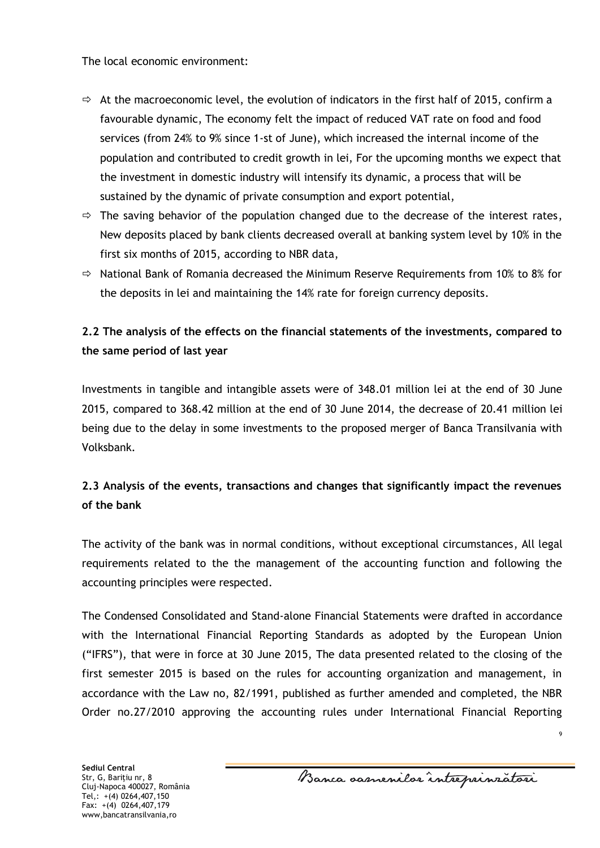The local economic environment:

- $\Rightarrow$  At the macroeconomic level, the evolution of indicators in the first half of 2015, confirm a favourable dynamic, The economy felt the impact of reduced VAT rate on food and food services (from 24% to 9% since 1-st of June), which increased the internal income of the population and contributed to credit growth in lei, For the upcoming months we expect that the investment in domestic industry will intensify its dynamic, a process that will be sustained by the dynamic of private consumption and export potential,
- $\Rightarrow$  The saving behavior of the population changed due to the decrease of the interest rates, New deposits placed by bank clients decreased overall at banking system level by 10% in the first six months of 2015, according to NBR data,
- $\Rightarrow$  National Bank of Romania decreased the Minimum Reserve Requirements from 10% to 8% for the deposits in lei and maintaining the 14% rate for foreign currency deposits.

# **2.2 The analysis of the effects on the financial statements of the investments, compared to the same period of last year**

Investments in tangible and intangible assets were of 348.01 million lei at the end of 30 June 2015, compared to 368.42 million at the end of 30 June 2014, the decrease of 20.41 million lei being due to the delay in some investments to the proposed merger of Banca Transilvania with Volksbank.

# **2.3 Analysis of the events, transactions and changes that significantly impact the revenues of the bank**

The activity of the bank was in normal conditions, without exceptional circumstances, All legal requirements related to the the management of the accounting function and following the accounting principles were respected.

The Condensed Consolidated and Stand-alone Financial Statements were drafted in accordance with the International Financial Reporting Standards as adopted by the European Union ("IFRS"), that were in force at 30 June 2015, The data presented related to the closing of the first semester 2015 is based on the rules for accounting organization and management, in accordance with the Law no, 82/1991, published as further amended and completed, the NBR Order no.27/2010 approving the accounting rules under International Financial Reporting

**Sediul Central** Str, G, Bariţiu nr, 8 Cluj-Napoca 400027, România Tel,: +(4) 0264,407,150 Fax: +(4) 0264,407,179 www,bancatransilvania,ro

Banca samenilar intreprinzatori

 $\circ$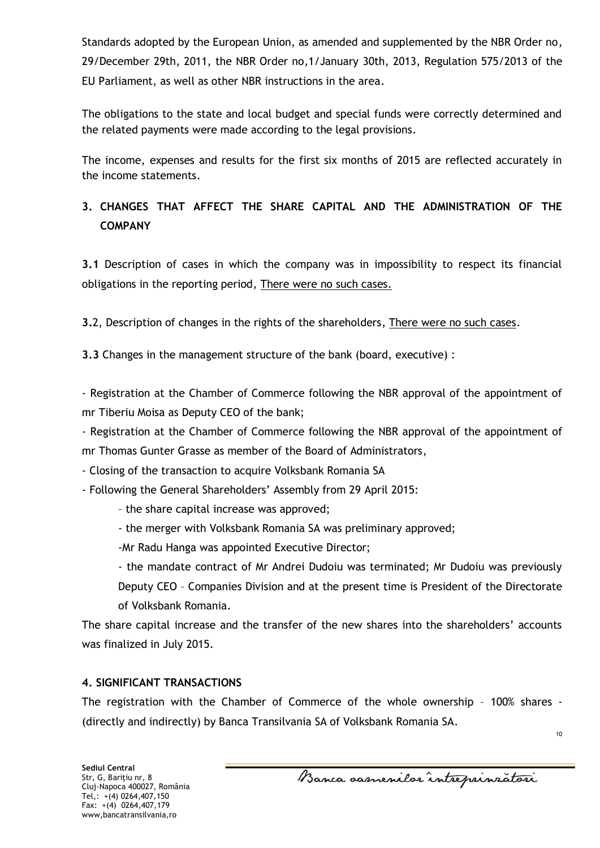Standards adopted by the European Union, as amended and supplemented by the NBR Order no, 29/December 29th, 2011, the NBR Order no,1/January 30th, 2013, Regulation 575/2013 of the EU Parliament, as well as other NBR instructions in the area.

The obligations to the state and local budget and special funds were correctly determined and the related payments were made according to the legal provisions.

The income, expenses and results for the first six months of 2015 are reflected accurately in the income statements.

# **3. CHANGES THAT AFFECT THE SHARE CAPITAL AND THE ADMINISTRATION OF THE COMPANY**

**3.1** Description of cases in which the company was in impossibility to respect its financial obligations in the reporting period, There were no such cases.

**3.**2, Description of changes in the rights of the shareholders, There were no such cases.

**3.3** Changes in the management structure of the bank (board, executive) :

- Registration at the Chamber of Commerce following the NBR approval of the appointment of mr Tiberiu Moisa as Deputy CEO of the bank;

- Registration at the Chamber of Commerce following the NBR approval of the appointment of mr Thomas Gunter Grasse as member of the Board of Administrators,

- Closing of the transaction to acquire Volksbank Romania SA

- Following the General Shareholders' Assembly from 29 April 2015:

- the share capital increase was approved;
- the merger with Volksbank Romania SA was preliminary approved;

-Mr Radu Hanga was appointed Executive Director;

- the mandate contract of Mr Andrei Dudoiu was terminated; Mr Dudoiu was previously Deputy CEO – Companies Division and at the present time is President of the Directorate of Volksbank Romania.

The share capital increase and the transfer of the new shares into the shareholders' accounts was finalized in July 2015.

## **4. SIGNIFICANT TRANSACTIONS**

The registration with the Chamber of Commerce of the whole ownership – 100% shares - (directly and indirectly) by Banca Transilvania SA of Volksbank Romania SA.

Banca samenilar intreprinzatori

10